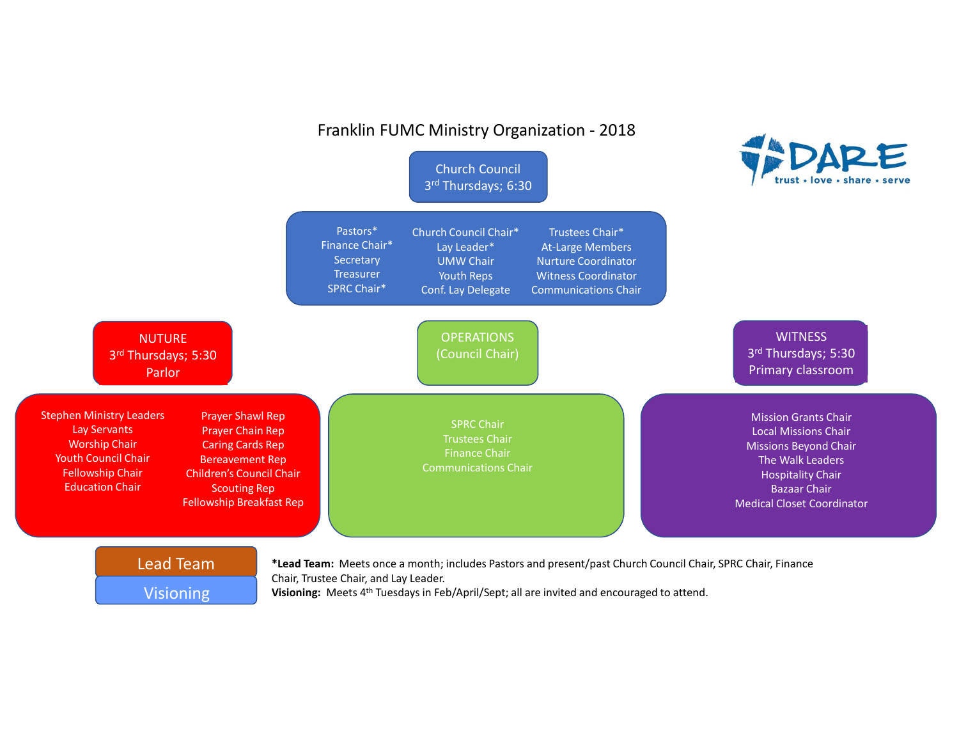

**Visioning:** Meets 4<sup>th</sup> Tuesdays in Feb/April/Sept; all are invited and encouraged to attend.